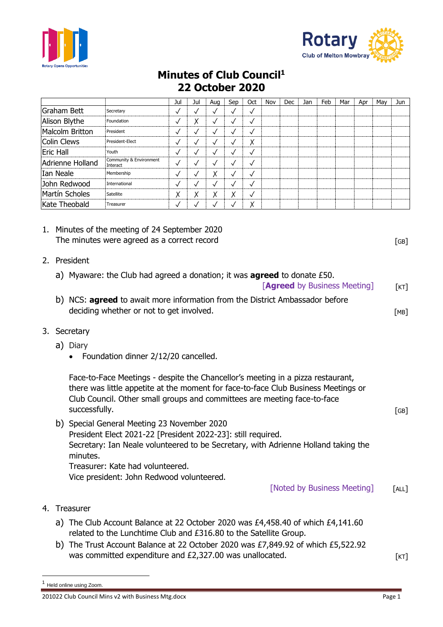



## **Minutes of Club Council<sup>1</sup> 22 October 2020**

|                                                         |                                                                                                                                                                                                                                                                                                                                   |                                                                                                                                                                                                                                                                                    | Jul          | Jul          | Aug          | Sep          | Oct | Nov | Dec                         | Jan | Feb                                        | Mar | Apr | May | Jun   |
|---------------------------------------------------------|-----------------------------------------------------------------------------------------------------------------------------------------------------------------------------------------------------------------------------------------------------------------------------------------------------------------------------------|------------------------------------------------------------------------------------------------------------------------------------------------------------------------------------------------------------------------------------------------------------------------------------|--------------|--------------|--------------|--------------|-----|-----|-----------------------------|-----|--------------------------------------------|-----|-----|-----|-------|
| <b>Graham Bett</b><br>Secretary                         |                                                                                                                                                                                                                                                                                                                                   | $\checkmark$                                                                                                                                                                                                                                                                       | $\checkmark$ | $\checkmark$ | $\checkmark$ | $\checkmark$ |     |     |                             |     |                                            |     |     |     |       |
| Alison Blythe<br>Foundation                             |                                                                                                                                                                                                                                                                                                                                   | $\checkmark$                                                                                                                                                                                                                                                                       | Χ            | $\checkmark$ | $\checkmark$ | $\checkmark$ |     |     |                             |     |                                            |     |     |     |       |
| <b>Malcolm Britton</b><br>President                     |                                                                                                                                                                                                                                                                                                                                   | $\checkmark$                                                                                                                                                                                                                                                                       | $\checkmark$ | $\checkmark$ | $\checkmark$ | $\checkmark$ |     |     |                             |     |                                            |     |     |     |       |
| <b>Colin Clews</b><br>President-Elect                   |                                                                                                                                                                                                                                                                                                                                   | $\checkmark$                                                                                                                                                                                                                                                                       | $\checkmark$ | $\checkmark$ | $\checkmark$ | Χ            |     |     |                             |     |                                            |     |     |     |       |
| <b>Eric Hall</b><br>Youth                               |                                                                                                                                                                                                                                                                                                                                   | $\checkmark$                                                                                                                                                                                                                                                                       | $\checkmark$ | $\checkmark$ | $\checkmark$ | $\checkmark$ |     |     |                             |     |                                            |     |     |     |       |
| Community & Environment<br>Adrienne Holland<br>Interact |                                                                                                                                                                                                                                                                                                                                   | $\checkmark$                                                                                                                                                                                                                                                                       | $\checkmark$ | $\checkmark$ | $\checkmark$ | $\checkmark$ |     |     |                             |     |                                            |     |     |     |       |
| Ian Neale<br>Membership                                 |                                                                                                                                                                                                                                                                                                                                   | $\checkmark$                                                                                                                                                                                                                                                                       | $\checkmark$ | Χ            | $\checkmark$ | $\checkmark$ |     |     |                             |     |                                            |     |     |     |       |
| John Redwood<br>International                           |                                                                                                                                                                                                                                                                                                                                   | $\checkmark$                                                                                                                                                                                                                                                                       | $\checkmark$ | $\checkmark$ | $\sqrt{}$    | $\checkmark$ |     |     |                             |     |                                            |     |     |     |       |
| Martín Scholes<br>Satellite                             |                                                                                                                                                                                                                                                                                                                                   | Χ                                                                                                                                                                                                                                                                                  | Χ            | Χ            | Χ            | $\checkmark$ |     |     |                             |     |                                            |     |     |     |       |
| Kate Theobald<br>Treasurer                              |                                                                                                                                                                                                                                                                                                                                   | $\checkmark$                                                                                                                                                                                                                                                                       | $\checkmark$ | $\checkmark$ | ✓            | Χ            |     |     |                             |     |                                            |     |     |     |       |
|                                                         | 1. Minutes of the meeting of 24 September 2020<br>The minutes were agreed as a correct record<br>2. President<br>a) Myaware: the Club had agreed a donation; it was <b>agreed</b> to donate $£50$ .<br><b>[Agreed</b> by Business Meeting]<br>b) NCS: <b>agreed</b> to await more information from the District Ambassador before |                                                                                                                                                                                                                                                                                    |              |              |              |              |     |     |                             |     | $\lceil GB \rceil$<br>$\lceil$ KT $\rceil$ |     |     |     |       |
|                                                         |                                                                                                                                                                                                                                                                                                                                   | deciding whether or not to get involved.                                                                                                                                                                                                                                           |              |              |              |              |     |     |                             |     |                                            |     |     |     | [MB]  |
| 3.                                                      | Secretary                                                                                                                                                                                                                                                                                                                         |                                                                                                                                                                                                                                                                                    |              |              |              |              |     |     |                             |     |                                            |     |     |     |       |
|                                                         | a) Diary<br>Foundation dinner 2/12/20 cancelled.<br>Face-to-Face Meetings - despite the Chancellor's meeting in a pizza restaurant,                                                                                                                                                                                               |                                                                                                                                                                                                                                                                                    |              |              |              |              |     |     |                             |     |                                            |     |     |     |       |
|                                                         | there was little appetite at the moment for face-to-face Club Business Meetings or<br>Club Council. Other small groups and committees are meeting face-to-face                                                                                                                                                                    |                                                                                                                                                                                                                                                                                    |              |              |              |              |     |     |                             |     |                                            |     |     |     |       |
|                                                         | successfully.                                                                                                                                                                                                                                                                                                                     |                                                                                                                                                                                                                                                                                    |              |              |              |              |     |     |                             |     |                                            |     |     |     | [GB]  |
|                                                         | minutes.                                                                                                                                                                                                                                                                                                                          | b) Special General Meeting 23 November 2020<br>President Elect 2021-22 [President 2022-23]: still required.<br>Secretary: Ian Neale volunteered to be Secretary, with Adrienne Holland taking the<br>Treasurer: Kate had volunteered.<br>Vice president: John Redwood volunteered. |              |              |              |              |     |     | [Noted by Business Meeting] |     |                                            |     |     |     | [ALL] |
| 4.                                                      | Treasurer                                                                                                                                                                                                                                                                                                                         |                                                                                                                                                                                                                                                                                    |              |              |              |              |     |     |                             |     |                                            |     |     |     |       |
|                                                         |                                                                                                                                                                                                                                                                                                                                   | a) The Club Account Balance at 22 October 2020 was £4,458.40 of which £4,141.60<br>related to the Lunchtime Club and £316.80 to the Satellite Group.<br>b) The Trust Account Balance at 22 October 2020 was £7,849.92 of which £5,522.92                                           |              |              |              |              |     |     |                             |     |                                            |     |     |     |       |
|                                                         |                                                                                                                                                                                                                                                                                                                                   | was committed expenditure and £2,327.00 was unallocated.                                                                                                                                                                                                                           |              |              |              |              |     |     |                             |     |                                            |     |     |     | [KT]  |

<sup>1</sup> Held online using Zoom.

<sup>201022</sup> Club Council Mins v2 with Business Mtg.docx example 3 and 201022 Club Council Mins v2 with Business Mtg.docx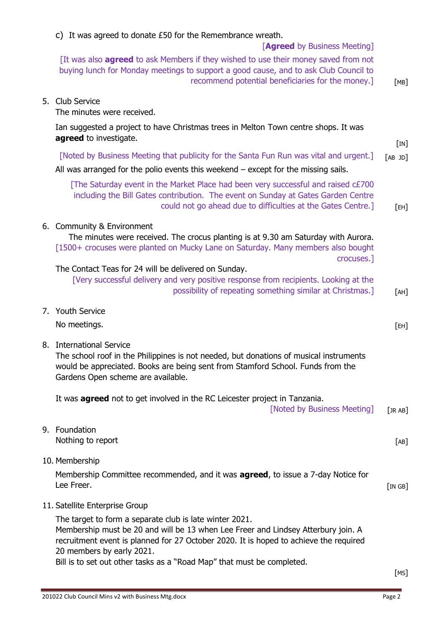| c) It was agreed to donate $E50$ for the Remembrance wreath.<br>[Agreed by Business Meeting]                                                                                                                                                                                                                                                                                   |                      |  |  |  |  |  |
|--------------------------------------------------------------------------------------------------------------------------------------------------------------------------------------------------------------------------------------------------------------------------------------------------------------------------------------------------------------------------------|----------------------|--|--|--|--|--|
| [It was also <b>agreed</b> to ask Members if they wished to use their money saved from not<br>buying lunch for Monday meetings to support a good cause, and to ask Club Council to<br>recommend potential beneficiaries for the money.]                                                                                                                                        | [MB]                 |  |  |  |  |  |
| 5. Club Service<br>The minutes were received.                                                                                                                                                                                                                                                                                                                                  |                      |  |  |  |  |  |
| Ian suggested a project to have Christmas trees in Melton Town centre shops. It was<br>agreed to investigate.                                                                                                                                                                                                                                                                  |                      |  |  |  |  |  |
| [Noted by Business Meeting that publicity for the Santa Fun Run was vital and urgent.]<br>All was arranged for the polio events this weekend $-$ except for the missing sails.                                                                                                                                                                                                 | [IN]<br>$[AB$ JD $]$ |  |  |  |  |  |
| [The Saturday event in the Market Place had been very successful and raised c£700<br>including the Bill Gates contribution. The event on Sunday at Gates Garden Centre<br>could not go ahead due to difficulties at the Gates Centre.]                                                                                                                                         | [EH]                 |  |  |  |  |  |
| 6. Community & Environment<br>The minutes were received. The crocus planting is at 9.30 am Saturday with Aurora.<br>[1500+ crocuses were planted on Mucky Lane on Saturday. Many members also bought<br>crocuses.]                                                                                                                                                             |                      |  |  |  |  |  |
| The Contact Teas for 24 will be delivered on Sunday.<br>[Very successful delivery and very positive response from recipients. Looking at the<br>possibility of repeating something similar at Christmas.]                                                                                                                                                                      | [AH]                 |  |  |  |  |  |
| 7. Youth Service<br>No meetings.                                                                                                                                                                                                                                                                                                                                               | [EH]                 |  |  |  |  |  |
| 8. International Service<br>The school roof in the Philippines is not needed, but donations of musical instruments<br>would be appreciated. Books are being sent from Stamford School. Funds from the<br>Gardens Open scheme are available.                                                                                                                                    |                      |  |  |  |  |  |
| It was <b>agreed</b> not to get involved in the RC Leicester project in Tanzania.<br>[Noted by Business Meeting]                                                                                                                                                                                                                                                               | [JR AB]              |  |  |  |  |  |
| 9. Foundation<br>Nothing to report                                                                                                                                                                                                                                                                                                                                             | [AB]                 |  |  |  |  |  |
| 10. Membership<br>Membership Committee recommended, and it was <b>agreed</b> , to issue a 7-day Notice for<br>Lee Freer.                                                                                                                                                                                                                                                       | [IN GB]              |  |  |  |  |  |
| 11. Satellite Enterprise Group<br>The target to form a separate club is late winter 2021.<br>Membership must be 20 and will be 13 when Lee Freer and Lindsey Atterbury join. A<br>recruitment event is planned for 27 October 2020. It is hoped to achieve the required<br>20 members by early 2021.<br>Bill is to set out other tasks as a "Road Map" that must be completed. | [MS]                 |  |  |  |  |  |